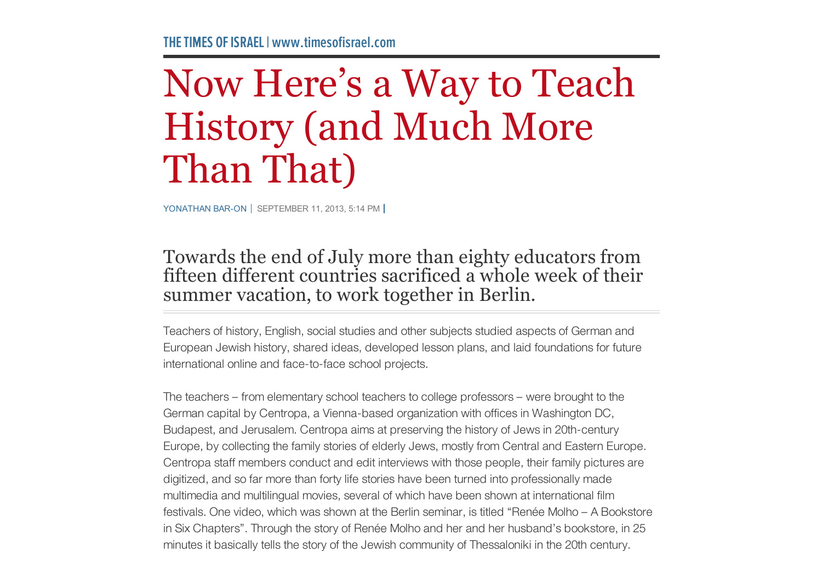## Now Here's a Way to Teach History (and Much More Than That)

YONATHAN BAR-ON SEPTEMBER 11, 2013, 5:14 PM

## Towards the end of July more than eighty educators from fifteen different countries sacrificed a whole week of their summer vacation, to work together in Berlin.

Teachers of history, English, social studies and other subjects studied aspects of German and European Jewish history, shared ideas, developed lesson plans, and laid foundations for future international online and face-to-face school projects.

The teachers – from elementary school teachers to college professors – were brought to the German capital by Centropa, a Vienna-based organization with offices in Washington DC, Budapest, and Jerusalem. Centropa aims at preserving the history of Jews in 20th-century Europe, by collecting the family stories of elderly Jews, mostly from Central and Eastern Europe. Centropa staff members conduct and edit interviews with those people, their family pictures are digitized, and so far more than forty life stories have been turned into professionally made multimedia and multilingual movies, several of which have been shown at international film festivals. One video, which was shown at the Berlin seminar, is titled "Renée Molho – A Bookstore in Six Chapters". Through the story of Renée Molho and her and her husband's bookstore, in 25 minutes it basically tells the story of the Jewish community of Thessaloniki in the 20th century.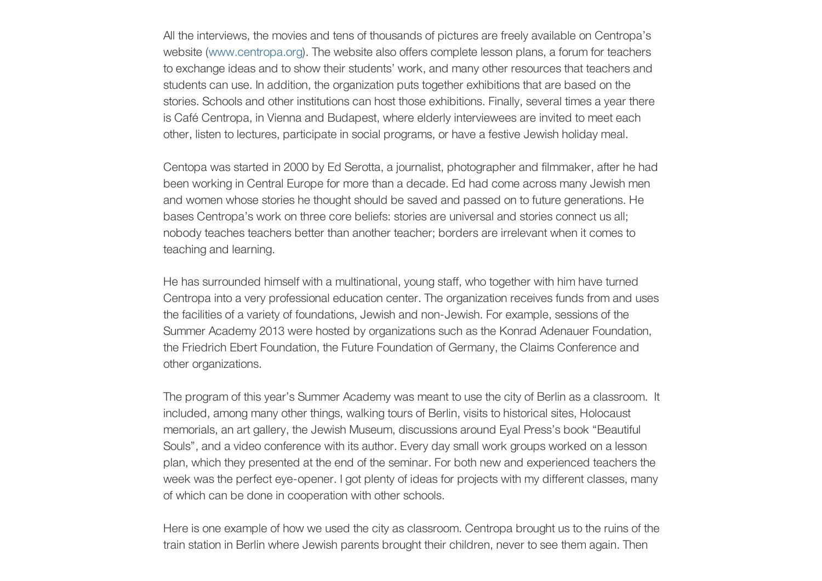All the interviews, the movies and tens of thousands of pictures are freely available on Centropa's website (www.centropa.org). The website also offers complete lesson plans, a forum for teachers to exchange ideas and to show their students' work, and many other resources that teachers and students can use. In addition, the organization puts together exhibitions that are based on the stories. Schools and other institutions can host those exhibitions. Finally, several times a year there is Café Centropa, in Vienna and Budapest, where elderly interviewees are invited to meet each other, listen to lectures, participate in social programs, or have a festive Jewish holiday meal.

Centopa was started in 2000 by Ed Serotta, a journalist, photographer and filmmaker, after he had been working in Central Europe for more than a decade. Ed had come across many Jewish men and women whose stories he thought should be saved and passed on to future generations. He bases Centropa's work on three core beliefs: stories are universal and stories connect us all; nobody teaches teachers better than another teacher; borders are irrelevant when it comes to teaching and learning.

He has surrounded himself with a multinational, young staff, who together with him have turned Centropa into a very professional education center. The organization receives funds from and uses the facilities of a variety of foundations, Jewish and non-Jewish. For example, sessions of the Summer Academy 2013 were hosted by organizations such as the Konrad Adenauer Foundation, the Friedrich Ebert Foundation, the Future Foundation of Germany, the Claims Conference and other organizations.

The program of this year's Summer Academy was meant to use the city of Berlin as a classroom. It included, among many other things, walking tours of Berlin, visits to historical sites, Holocaust memorials, an art gallery, the Jewish Museum, discussions around Eyal Press's book "Beautiful Souls", and a video conference with its author. Every day small work groups worked on a lesson plan, which they presented at the end of the seminar. For both new and experienced teachers the week was the perfect eye-opener. I got plenty of ideas for projects with my different classes, many of which can be done in cooperation with other schools.

Here is one example of how we used the city as classroom. Centropa brought us to the ruins of the train station in Berlin where Jewish parents brought their children, never to see them again. Then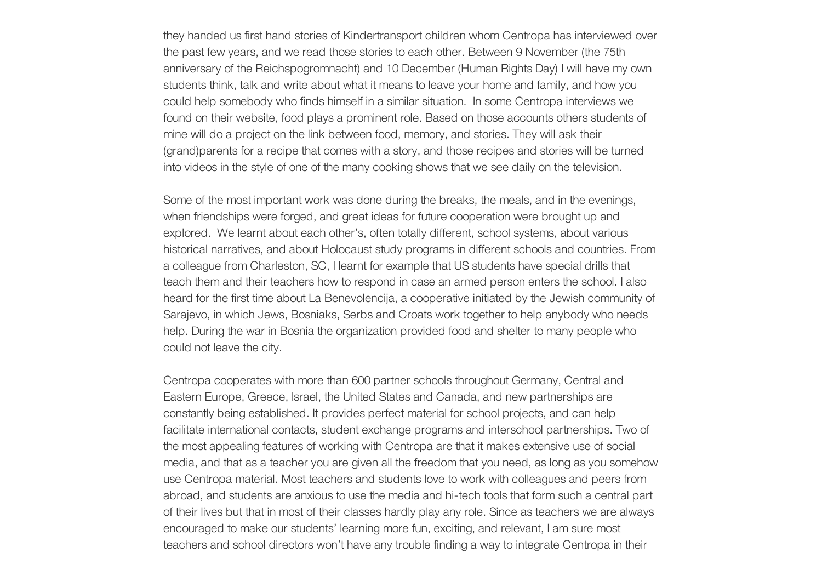they handed us first hand stories of Kindertransport children whom Centropa has interviewed over the past few years, and we read those stories to each other. Between 9 November (the 75th anniversary of the Reichspogromnacht) and 10 December (Human Rights Day) I will have my own students think, talk and write about what it means to leave your home and family, and how you could help somebody who finds himself in a similar situation. In some Centropa interviews we found on their website, food plays a prominent role. Based on those accounts others students of mine will do a project on the link between food, memory, and stories. They will ask their (grand)parents for a recipe that comes with a story, and those recipes and stories will be turned into videos in the style of one of the many cooking shows that we see daily on the television.

Some of the most important work was done during the breaks, the meals, and in the evenings, when friendships were forged, and great ideas for future cooperation were brought up and explored. We learnt about each other's, often totally different, school systems, about various historical narratives, and about Holocaust study programs in different schools and countries. From a colleague from Charleston, SC, I learnt for example that US students have special drills that teach them and their teachers how to respond in case an armed person enters the school. I also heard for the first time about La Benevolencija, a cooperative initiated by the Jewish community of Sarajevo, in which Jews, Bosniaks, Serbs and Croats work together to help anybody who needs help. During the war in Bosnia the organization provided food and shelter to many people who could not leave the city.

Centropa cooperates with more than 600 partner schools throughout Germany, Central and Eastern Europe, Greece, Israel, the United States and Canada, and new partnerships are constantly being established. It provides perfect material for school projects, and can help facilitate international contacts, student exchange programs and interschool partnerships. Two of the most appealing features of working with Centropa are that it makes extensive use of social media, and that as a teacher you are given all the freedom that you need, as long as you somehow use Centropa material. Most teachers and students love to work with colleagues and peers from abroad, and students are anxious to use the media and hi-tech tools that form such a central part of their lives but that in most of their classes hardly play any role. Since as teachers we are always encouraged to make our students' learning more fun, exciting, and relevant, I am sure most teachers and school directors won't have any trouble finding a way to integrate Centropa in their